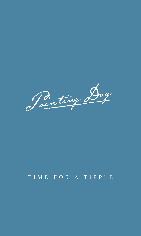Pointing Dog

# TIME FOR A TIPPLE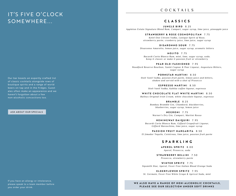# IT'S FIVE O'CLOCK SOMEWHERE...

### COCKTAILS

#### **CLASSICS**

**JUNGLE BIRD** 8.25 *Appleton Estate Signature Blend Rum, Campari, sugar syrup, lime juice, pineapple juice*

**STRAWBERRY & ROSE COSMOPOLITAN** 7.75

*Ketel One Citroen Vodka, Lanique Spirit of Rose, strawberry purée, cranberry juice, lime juice, sugar syrup*

**DISARONNO SOUR** 7.75

*Disaronno Amaretto, lemon juice, sugar syrup, aromatic bitters*

**MOJITO** 7.75

*Bacardi Carta Blanca Rum, mint, lime, sugar syrup, soda. Keep it classic or make it passion fruit or strawberry*

**PEAR OLD - FASHIONED** 7.95 *Woodford Reserve Bourbon, Xanté Cognac & Pear Liqueur, Angostura Bitters, sugar syrup*

**PORNSTAR MARTINI** 8.50 *Stoli Vanil Vodka, passion fruit purée, lemon juice and bitters, shaken and served with a shot of Prosecco*

**ESPRESSO MARTINI** 8.50

*Stoli Vanil Vodka, Kahlúa coffee liqueur, espresso*

**WHITE CHOCOLATE FLAT WHITE MARTINI** 8.50

*Baileys Original Irish Cream, white chocolate liqueur, espresso*

**BRAMBLE** 8.25

*Bombay Bramble Gin, Chambord, blackberries, blueberries, sugar syrup, lemon juice*

**NEGRONI** 7.75

*Warner's Dry Gin, Campari, Martini Rosso*

**HEMINGWAY DAIQUIRI** 7.95

*Bacardi Carta Blanca Rum, Giffard Grapefruit Liqueur, Giffard Maraschino, lime juice, sugar syrup*

**PASSION FRUIT MARGARITA** 8.50 *El Jimador Tequila, Cointreau, lime juice, passion fruit purée*

#### **SPARKLING**

**APEROL SPRITZ** 8.00 *Aperol, Prosecco, soda*

**STRAWBERRY BELLINI** 7.50 *Prosecco, strawberry purée* 

**WINTER SPRITZ** 7.75 *Sipsmith Sloe, Aperol, Fever-Tree Italian Blood Orange Soda*

**ELDERFLOWER SPRITZ** 7.95 *St. Germain, Fever-Tree White Grape & Apricot Soda, mint*

WE ALSO HAVE A RANGE OF NON-ALCOHOLIC COCKTAILS, **PLEASE SEE OUR SELECTION UNDER SOFT DRINKS**

Our bar boasts an expertly crafted list of classic cocktails alongside rows of boutique spirits and a range of world beers on tap and in the fridges. Guest ales often make an appearance and we haven't forgotten about a few non-alcoholic concoctions too.

#### ASK ABOUT OUR SPECIALS

If you have an allergy or intolerance, please speak to a team member before you order your drink.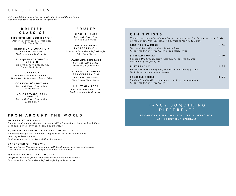# GIN & TONICS

*We've handpicked some of our favourite gins & paired them with our recommended tonics to enhance their flavours.* 

### **B R I T I S H CLASSICS**

**SIPSMITH LONDON DRY GIN** *Pair with Fever-Tree Refreshingly Light Tonic Water*

**HENDRICK'S LUNAR GIN** *Pair with Fever-Tree Mediterranean Tonic Water* 

**TANQUERAY LONDON DRY GIN** *Pair with London Essence Co.* 

*Indian Tonic Water*

**CHASE GB** *Pair with London Essence Co. Grapefruit & Rosemary Tonic Water*

**COTSWOLD'S DRY GIN** *Pair with Fever-Tree Indian Tonic Water*

**N O - G & T T A N Q U E R A Y ZERO** *0 % Pair with Fever-Tree Indian Tonic Water*

## **FRUITY**

**SIPSMITH SLOE** *Pair with Fever-Tree Sicilian Lemonade*

WHITLEY NEILL **RASPBERRY GIN** *Pair with Fever-Tree Refreshingly* 

*Light Tonic Water* **WARNER'S RHUBARB**

> *Pair with with London Essence Co. ginger ale*

**PUERTO DE INDIAS STRAWBERRY GIN** *Pair with Fever-Tree* 

*Elderflower Tonic Water*

**MALFY GIN ROSA** *Pair with with Fever-Tree Mediterranean Tonic Water*

### **GIN TWISTS**

*If you're not sure what gin you fancy, try one of our Gin Twists; we've perfectly paired our gin, flavours, mixers & garnishes for you to enjoy!*

| <b>KISS FROM A ROSE</b><br>Martin Miller's Gin, Lanique Spirit of Rose,<br>Fever-Tree Indian Tonic Water, rose petals, lemon | 10.25 |
|------------------------------------------------------------------------------------------------------------------------------|-------|
| SICILIAN SUNSET<br>Warner's Dry Gin, grapefruit liqueur, Fever-Tree Sicilian<br>Lemonade, pink grapefruit                    | 9.50  |
| <b>JUST PEACHY</b><br>Whitley Neill Raspberry Gin, Fever-Tree Refreshingly Light<br>Tonic Water, peach liqueur, berries      | 10.25 |
| <b>BRAMBLE AMBLE</b><br>Bombay Bramble Gin, lemon juice, vanilla syrup, apple juice,<br>Fever-Tree Indian Tonic Water        | 10.25 |

# **FROM AROUND THE WORLD**

**MONKEY 47** *GERMANY*

*Complex and unusual German gin made with 47 botanicals from the Black Forest. Best paired with Fever-Tree Indian Tonic Water*

#### **FOUR PILLARS BLOODY SHIRAZ GIN** *AUSTRALIA*

*An Australian gin that has been steeped in shiraz grapes which add amazing red-fruit notes. Best paired with Fever-Tree Sicilian Lemonade*

#### **BAREKSTEN GIN** *NORWAY*

*Award-winning Norwegian gin made with local herbs, potatoes and berries. Best paired with Fever-Tree Mediterranean Tonic Water*

#### **135 EAST HYOGO DRY GIN** *JAPAN*

*Fragrant Japanese gin distilled with locally sourced botanicals. Best paired with Fever-Tree Refreshingly Light Tonic Water*

# F A N C Y S O M E T H I N G DIFFERENT?

**IF YOU CAN'T FIND WHAT YOU'RE LOOKING FOR, ASK ABOUT OUR SPECIALS**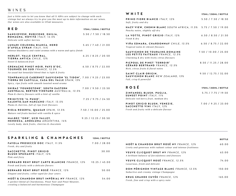# WINES

*Just a little note to let you know that all % ABVs are subject to change with each vintage but we always try to give you the most up to date information on our wines. Our wines are also available in 125ml measures.*

| <b>RED</b>                                                                                                                                                           | <b>175ML / 250ML / BOTTLE</b> |
|----------------------------------------------------------------------------------------------------------------------------------------------------------------------|-------------------------------|
| SANGIOVESE, RUBICONE, EMILIA,<br>ROMAGNA, NOVITÀ ITALY, 12.5%<br>Delicate with softer berries                                                                        | 5.50 / 7.50 / 18.50           |
| LUMARI COLOMBA BIANCA, NERO<br>D'AVOLA SYRAH ITALY, 14%<br>Intense blackberry and violet aromas with a warm and spicy finish                                         | 5.65 / 7.40 / 21.00           |
| MERLOT, VALLE CENTRAL,<br>TIERRA ANTICA CHILE, 13%<br>Sweet & balanced fruit                                                                                         | 6.25 / 8.25 / 20.50           |
| GRENACHE PINOT NOIR, PAYS D'OC,<br><b>TOURNÉE DU SUD FRANCE, 12.5%</b><br>An usual but beautiful blend that is light & fruity                                        | 6.50 / 8.75 / 22.00           |
| TEMPRANILLO CABERNET SAUVIGNON 'EL TIDON', 7.00 / 9.25 / 23.00<br>TIERRA DE CASTILLA, CASA DEL VALLE SPAIN, 13%<br>Spicy, ripe fruits with smooth toasted wood aroma |                               |
| SHIRAZ 'FOUNDSTONE', SOUTH EASTERN<br><b>AUSTRALIA, BERTON VINEYARD AUSTRALIA, 13.5%</b><br>Plum & cherry flavours with a hint of vanilla                            | 7.00 / 9.50 / 23.50           |
| PRIMITIVO 'IL PUMO'.<br>SALENTO, SAN MARZANO ITALY, 13.5%<br>Plums & cherries, full of ripe fruit flavours                                                           | 7.25 / 9.75 / 24.50           |
| RIOJA RESERVA, QUASAR SPAIN, 13.5%<br>Mature red fruits backed with vanilla & spice                                                                                  | 7.50 / 10.00 / 25.00          |
| MALBEC '1300', UCO VALLEY,<br>MENDOZA, ANDELUNA ARGENTINA, 14%<br>Lovely body, dark fruits, cherries & chocolate                                                     | 9.25 / 12.25 / 30.50          |

| WHITE                                                                                                             | <b>175ML / 250ML / BOTTLE</b> |
|-------------------------------------------------------------------------------------------------------------------|-------------------------------|
| <b>PRIMO FIORE BIANCO ITALY, 12%</b><br>Soft, fruity and dry                                                      | 5.50 / 7.50 / 18.50           |
| <b>HAZY VIEW, CHENIN BLANC SOUTH AFRICA, 11.5%</b><br>Peachy notes, slightly off-dry                              | 5.75 / 7.50 / 19.00           |
| LA VOTTE, PINOT GRIGIO ITALY, 12%<br>Fresh & dry                                                                  | 6.50 / 8.50 / 21.50           |
| VIÑA EDMARA, CHARDONNAY CHILE, 13.5%<br>Tropical notes & vibrant flavours                                         | 6.50 / 8.75 / 22.00           |
| SAUVIGNON DE TOURAINE, DOMAINE<br>LES PETITS FAITEAUX FRANCE, 12.5%<br>Charming & dry with lively citrus flavours | 7.50 / 10.00 / 25.00          |
| PICPOUL DE PINET 'TERROIR'<br>GÉRARD BERTRAND FRANCE, 12.5%<br>Rich, citrus fruits & floral notes                 | 8.50 / 11.25 / 28.00          |
| SAINT CLAIR ORIGIN,<br>SAUVIGNON BLANC NEW ZEALAND, 13%<br>Full, crisp & powerful                                 | 9.50 / 12.75 / 32.00          |
| <b>ROSÉ</b>                                                                                                       | 175ML / 250ML / BOTTLE        |
| ZINFANDEL BLUSH, PUGLIA,<br><b>SUNSET POINT ITALY, 11%</b><br>Delicate red berry fruit, medium dry                | 5.75 / 7.75 / 19.50           |
| PINOT GRIGIO BLUSH, VENEZIE,<br>SACCHETTO VINI ITALY, 12%<br>Fresh and fruity with a delicate flavour             | 7.00 / 9.25 / 23.00           |

| SPARKLING & CHAMPAGNES                                                                                                                                      | <b>125ML / BOTTLE</b> |                                                                                                           | <b>BOTTLE</b> |
|-------------------------------------------------------------------------------------------------------------------------------------------------------------|-----------------------|-----------------------------------------------------------------------------------------------------------|---------------|
| FAVOLA PROSECCO DOC ITALY, 11.5%<br>Fresh, dry and fruity                                                                                                   | 7.00 / 28.00          | MOËT & CHANDON BRUT ROSÉ NV FRANCE, 12%<br>Lively and generous with radiant colour and intense fruitiness | 60.00         |
| SACCHETTO, PINOT GRIGIO<br><b>BLUSH SPUMANTE /TALY, 12%</b><br>Pink and fizzy                                                                               | 30.00                 | VEUVE CLICQUOT BRUT NV FRANCE, 12%<br>A brilliant balance of forcefulness and finesses                    | 63.00         |
| BERNARD REMY BRUT CARTE BLANCHE FRANCE, 12%<br>Fresh and fruity with a delicate flavors                                                                     | 10.25 / 45.00         | VEUVE CLICQUOT ROSÉ FRANCE, 12.5%<br>Luxurious, fresh and delicate                                        | 74.00         |
| BERNARD REMY BRUT ROSÉ FRANCE, 12%<br>Elegant and fruity; cellar-aged for four years                                                                        | 50.00                 | DOM PÉRIGNON VINTAGE BLANC FRANCE, 12.5%<br>Seductive and creamy vintage Champagne                        | 150.00        |
| MOËT & CHANDON BRUT IMPÉRIAL NV FRANCE, 12%<br>A perfect blend of Chardonnay, Pinot Noir and Pinot Meunier,<br>creating a balanced and harmonious Champagne | 54.00                 | <b>KRUG GRANDE CUVÉE FRANCE, 12%</b><br>Fresh, fine and crisp with a spicy note                           | 165.00        |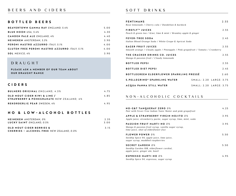### **BOTTLED BEERS**

| <b>BEAVERTOWN GAMMA RAY ENGLAND, 5.4%</b>            | 5.00 |
|------------------------------------------------------|------|
| <b>BLUE MOON USA, 5.4%</b>                           | 4.30 |
| <b>CAMDEN PALE ALE ENGLAND, 4%</b>                   | 4.40 |
| <b>HEINEKEN</b> AMSTERDAM, 5.3%                      | 3.90 |
| PERONI NASTRO AZZURRO ITALY, 5.1%                    | 4.00 |
| <b>GLUTEN FREE PERONI NASTRO AZZURRO ITALY, 5.1%</b> | 4.00 |
| <b>SOL MEXICO, 4%</b>                                | 3.90 |

# DRAUGHT

PLEASE ASK A MEMBER OF OUR TEAM ABOUT **OUR DRAUGHT RANGE**

### **CIDERS**

| <b>BULMERS ORIGINAL ENGLAND, 4.5%</b>                                    | 475 |
|--------------------------------------------------------------------------|-----|
| OLD MOUT CIDER KIWI & LIME /<br>STRAWBERRY & POMEGRANATE NEW ZEALAND, 4% | 485 |
| <b>REKORDERLIG PEAR SWEDEN, 4%</b>                                       | 495 |

### **NO & LOW - ALCOHOL BOTTLES**

| <b>HEINEKEN</b> AMSTERDAM, 0%                    | 2.35 |
|--------------------------------------------------|------|
| LUCKY SAINT ENGLAND, 0.5%                        | 300  |
| <b>OLD MOUT CIDER BERRIES &amp;</b>              | 3.15 |
| <b>CHERRIES - ALCOHOL FREE NEW ZEALAND, 0.0%</b> |      |

# SOFT DRINKS

| <b>FENTIMANS</b><br>Rose lemonade / Cherry cola / Dandelion & burdock                                        | 2.55                    |
|--------------------------------------------------------------------------------------------------------------|-------------------------|
| <b>FIREFLY<sup>TM</sup> JUICES</b><br>Peach & green tea / Kiwi, lime & mint / Bramley apple & ginger         | 2.55                    |
| <b>FEVER-TREE SODA</b><br>Italian Blood Orange Soda / White Grape & Apricot Soda                             | 2.45                    |
| <b>EAGER FRUIT JUICES</b><br>Smooth orange / Cloudy apple / Pineapple / Pink grapefruit / Tomato / Cranberry | 2.55                    |
| THE CRACKER DRINKS CO. JUICES<br>Mango & passion fruit / Cloudy lemonade                                     | 2.55                    |
| <b>BOTTLED PEPSI</b>                                                                                         | 2.55                    |
| <b>BOTTLED DIET PEPSI</b>                                                                                    | 2.45                    |
| <b>BOTTLEGREEN ELDERFLOWER SPARKLING PRESSÉ</b>                                                              | 2.60                    |
| S.PELLEGRINO® SPARKLING WATER                                                                                | SMALL: 2.20 LARGE: 3.75 |
| <b>ACQUA PANNA STILL WATER</b>                                                                               | SMALL: 2.20 LARGE: 3.75 |

# NON-ALCOHOLIC COCKTAILS

| <b>NO-G&amp;T TANQUERAY ZERO 0%</b><br>Pair with Fever-Tree Indian Tonic Water and pink grapefruit                            | 4.25 |
|-------------------------------------------------------------------------------------------------------------------------------|------|
| APPLE & STRAWBERRY VIRGIN MOJITO 0%<br>Apple juice, strawberry purée, sugar syrup, lime, mint, soda                           | 3.95 |
| <b>PASSION FRUIT MARTI-NO 0%</b><br>Mango & passion fruit syrup, vanilla sugar syrup,<br>lime juice, shot of elderflower fizz | 3.95 |
| <b>FLOWER POWER 0%</b><br>Seedlip Spice 94, apple juice, lime juice,<br>sugar syrup, muddled raspberries                      | 5.50 |
| <b>SECRET GARDEN 0%</b><br>Seedlip Garden 108, elderflower cordial,<br>apple juice, ginger ale, basil                         | 5.50 |
| <b>ESPRESSO MARTI-NO 0%</b><br>Seedlip Spice 94, espresso, sugar syrup                                                        | 495  |